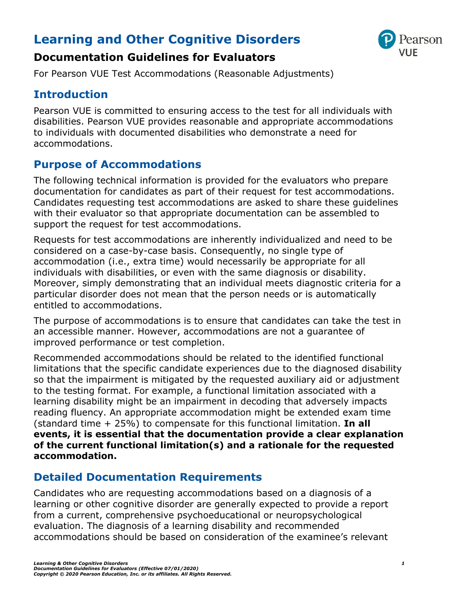# **Learning and Other Cognitive Disorders**



## **Documentation Guidelines for Evaluators**

For Pearson VUE Test Accommodations (Reasonable Adjustments)

## **Introduction**

Pearson VUE is committed to ensuring access to the test for all individuals with disabilities. Pearson VUE provides reasonable and appropriate accommodations to individuals with documented disabilities who demonstrate a need for accommodations.

# **Purpose of Accommodations**

The following technical information is provided for the evaluators who prepare documentation for candidates as part of their request for test accommodations. Candidates requesting test accommodations are asked to share these guidelines with their evaluator so that appropriate documentation can be assembled to support the request for test accommodations.

Requests for test accommodations are inherently individualized and need to be considered on a case-by-case basis. Consequently, no single type of accommodation (i.e., extra time) would necessarily be appropriate for all individuals with disabilities, or even with the same diagnosis or disability. Moreover, simply demonstrating that an individual meets diagnostic criteria for a particular disorder does not mean that the person needs or is automatically entitled to accommodations.

The purpose of accommodations is to ensure that candidates can take the test in an accessible manner. However, accommodations are not a guarantee of improved performance or test completion.

Recommended accommodations should be related to the identified functional limitations that the specific candidate experiences due to the diagnosed disability so that the impairment is mitigated by the requested auxiliary aid or adjustment to the testing format. For example, a functional limitation associated with a learning disability might be an impairment in decoding that adversely impacts reading fluency. An appropriate accommodation might be extended exam time (standard time + 25%) to compensate for this functional limitation. **In all events, it is essential that the documentation provide a clear explanation of the current functional limitation(s) and a rationale for the requested accommodation.**

## **Detailed Documentation Requirements**

Candidates who are requesting accommodations based on a diagnosis of a learning or other cognitive disorder are generally expected to provide a report from a current, comprehensive psychoeducational or neuropsychological evaluation. The diagnosis of a learning disability and recommended accommodations should be based on consideration of the examinee's relevant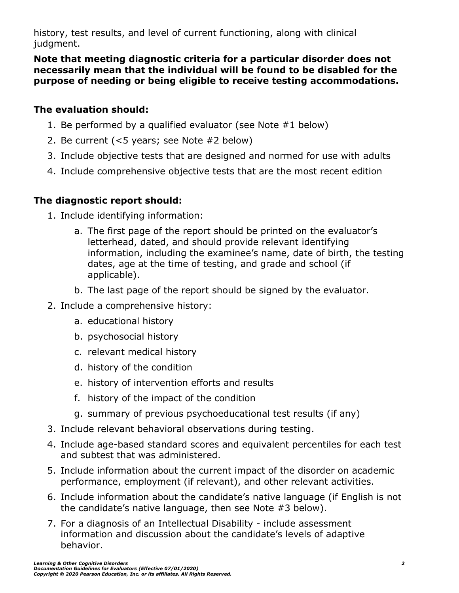history, test results, and level of current functioning, along with clinical judgment.

**Note that meeting diagnostic criteria for a particular disorder does not necessarily mean that the individual will be found to be disabled for the purpose of needing or being eligible to receive testing accommodations.**

### **The evaluation should:**

- 1. Be performed by a qualified evaluator (see Note #1 below)
- 2. Be current (<5 years; see Note #2 below)
- 3. Include objective tests that are designed and normed for use with adults
- 4. Include comprehensive objective tests that are the most recent edition

## **The diagnostic report should:**

- 1. Include identifying information:
	- a. The first page of the report should be printed on the evaluator's letterhead, dated, and should provide relevant identifying information, including the examinee's name, date of birth, the testing dates, age at the time of testing, and grade and school (if applicable).
	- b. The last page of the report should be signed by the evaluator.
- 2. Include a comprehensive history:
	- a. educational history
	- b. psychosocial history
	- c. relevant medical history
	- d. history of the condition
	- e. history of intervention efforts and results
	- f. history of the impact of the condition
	- g. summary of previous psychoeducational test results (if any)
- 3. Include relevant behavioral observations during testing.
- 4. Include age-based standard scores and equivalent percentiles for each test and subtest that was administered.
- 5. Include information about the current impact of the disorder on academic performance, employment (if relevant), and other relevant activities.
- 6. Include information about the candidate's native language (if English is not the candidate's native language, then see Note #3 below).
- 7. For a diagnosis of an Intellectual Disability include assessment information and discussion about the candidate's levels of adaptive behavior.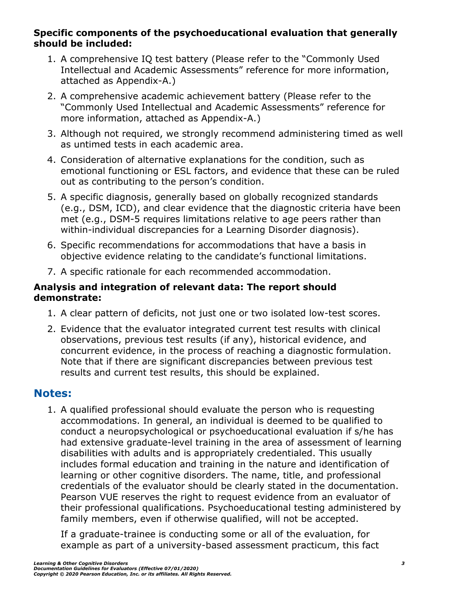#### **Specific components of the psychoeducational evaluation that generally should be included:**

- 1. A comprehensive IQ test battery (Please refer to the "Commonly Used Intellectual and Academic Assessments" reference for more information, attached as Appendix-A.)
- 2. A comprehensive academic achievement battery (Please refer to the "Commonly Used Intellectual and Academic Assessments" reference for more information, attached as Appendix-A.)
- 3. Although not required, we strongly recommend administering timed as well as untimed tests in each academic area.
- 4. Consideration of alternative explanations for the condition, such as emotional functioning or ESL factors, and evidence that these can be ruled out as contributing to the person's condition.
- 5. A specific diagnosis, generally based on globally recognized standards (e.g., DSM, ICD), and clear evidence that the diagnostic criteria have been met (e.g., DSM-5 requires limitations relative to age peers rather than within-individual discrepancies for a Learning Disorder diagnosis).
- 6. Specific recommendations for accommodations that have a basis in objective evidence relating to the candidate's functional limitations.
- 7. A specific rationale for each recommended accommodation.

#### **Analysis and integration of relevant data: The report should demonstrate:**

- 1. A clear pattern of deficits, not just one or two isolated low-test scores.
- 2. Evidence that the evaluator integrated current test results with clinical observations, previous test results (if any), historical evidence, and concurrent evidence, in the process of reaching a diagnostic formulation. Note that if there are significant discrepancies between previous test results and current test results, this should be explained.

### **Notes:**

1. A qualified professional should evaluate the person who is requesting accommodations. In general, an individual is deemed to be qualified to conduct a neuropsychological or psychoeducational evaluation if s/he has had extensive graduate-level training in the area of assessment of learning disabilities with adults and is appropriately credentialed. This usually includes formal education and training in the nature and identification of learning or other cognitive disorders. The name, title, and professional credentials of the evaluator should be clearly stated in the documentation. Pearson VUE reserves the right to request evidence from an evaluator of their professional qualifications. Psychoeducational testing administered by family members, even if otherwise qualified, will not be accepted.

If a graduate-trainee is conducting some or all of the evaluation, for example as part of a university-based assessment practicum, this fact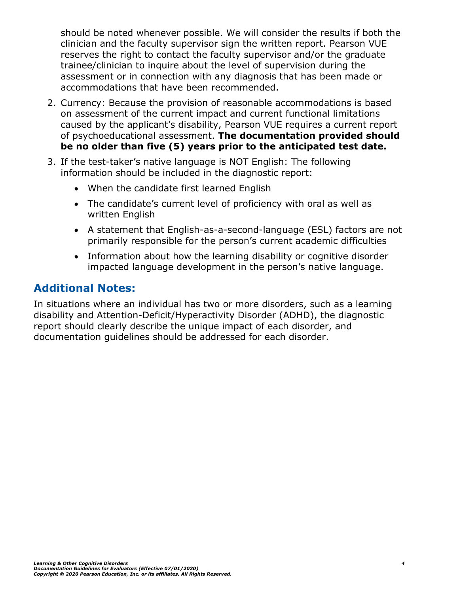should be noted whenever possible. We will consider the results if both the clinician and the faculty supervisor sign the written report. Pearson VUE reserves the right to contact the faculty supervisor and/or the graduate trainee/clinician to inquire about the level of supervision during the assessment or in connection with any diagnosis that has been made or accommodations that have been recommended.

- 2. Currency: Because the provision of reasonable accommodations is based on assessment of the current impact and current functional limitations caused by the applicant's disability, Pearson VUE requires a current report of psychoeducational assessment. **The documentation provided should be no older than five (5) years prior to the anticipated test date.**
- 3. If the test-taker's native language is NOT English: The following information should be included in the diagnostic report:
	- When the candidate first learned English
	- The candidate's current level of proficiency with oral as well as written English
	- A statement that English-as-a-second-language (ESL) factors are not primarily responsible for the person's current academic difficulties
	- Information about how the learning disability or cognitive disorder impacted language development in the person's native language.

# **Additional Notes:**

In situations where an individual has two or more disorders, such as a learning disability and Attention-Deficit/Hyperactivity Disorder (ADHD), the diagnostic report should clearly describe the unique impact of each disorder, and documentation guidelines should be addressed for each disorder.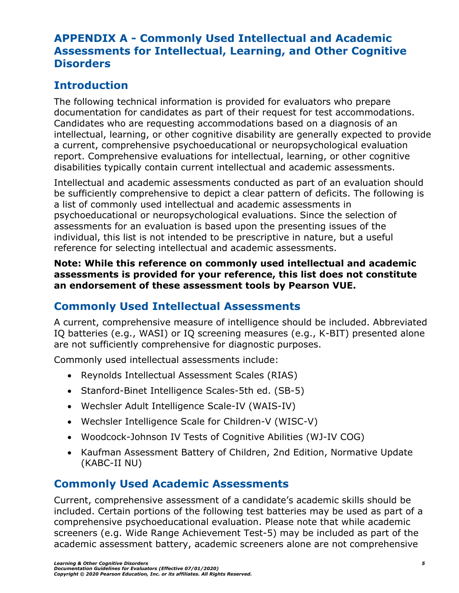## **APPENDIX A - Commonly Used Intellectual and Academic Assessments for Intellectual, Learning, and Other Cognitive Disorders**

# **Introduction**

The following technical information is provided for evaluators who prepare documentation for candidates as part of their request for test accommodations. Candidates who are requesting accommodations based on a diagnosis of an intellectual, learning, or other cognitive disability are generally expected to provide a current, comprehensive psychoeducational or neuropsychological evaluation report. Comprehensive evaluations for intellectual, learning, or other cognitive disabilities typically contain current intellectual and academic assessments.

Intellectual and academic assessments conducted as part of an evaluation should be sufficiently comprehensive to depict a clear pattern of deficits. The following is a list of commonly used intellectual and academic assessments in psychoeducational or neuropsychological evaluations. Since the selection of assessments for an evaluation is based upon the presenting issues of the individual, this list is not intended to be prescriptive in nature, but a useful reference for selecting intellectual and academic assessments.

#### **Note: While this reference on commonly used intellectual and academic assessments is provided for your reference, this list does not constitute an endorsement of these assessment tools by Pearson VUE.**

# **Commonly Used Intellectual Assessments**

A current, comprehensive measure of intelligence should be included. Abbreviated IQ batteries (e.g., WASI) or IQ screening measures (e.g., K-BIT) presented alone are not sufficiently comprehensive for diagnostic purposes.

Commonly used intellectual assessments include:

- Reynolds Intellectual Assessment Scales (RIAS)
- Stanford-Binet Intelligence Scales-5th ed. (SB-5)
- Wechsler Adult Intelligence Scale-IV (WAIS-IV)
- Wechsler Intelligence Scale for Children-V (WISC-V)
- Woodcock-Johnson IV Tests of Cognitive Abilities (WJ-IV COG)
- Kaufman Assessment Battery of Children, 2nd Edition, Normative Update (KABC-II NU)

# **Commonly Used Academic Assessments**

Current, comprehensive assessment of a candidate's academic skills should be included. Certain portions of the following test batteries may be used as part of a comprehensive psychoeducational evaluation. Please note that while academic screeners (e.g. Wide Range Achievement Test-5) may be included as part of the academic assessment battery, academic screeners alone are not comprehensive